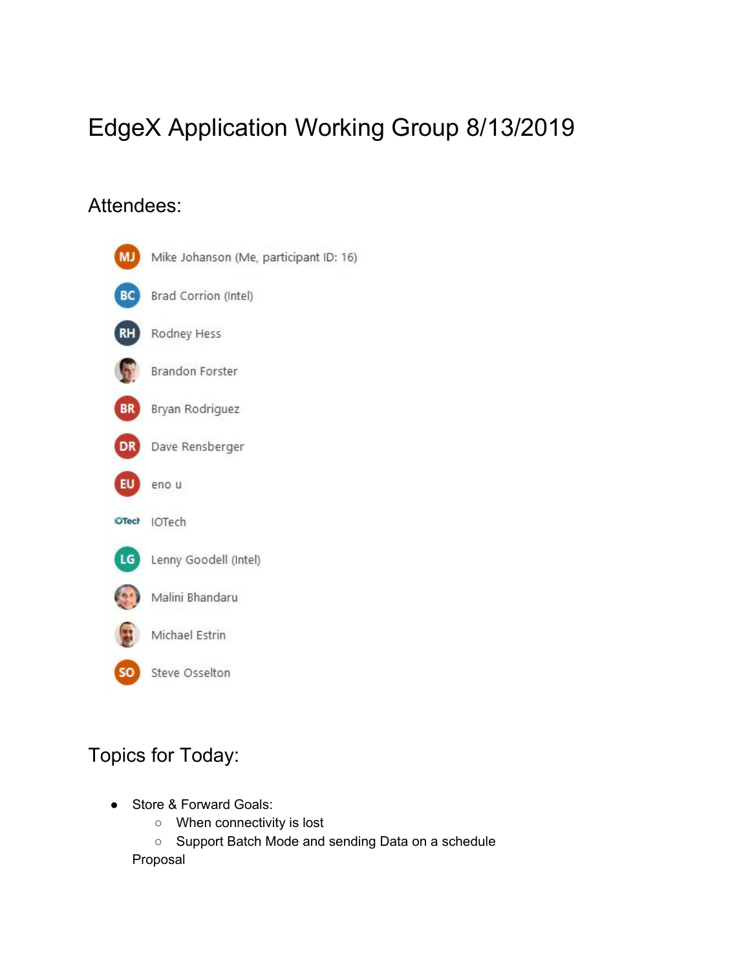## EdgeX Application Working Group 8/13/2019

## Attendees:



## Topics for Today:

- Store & Forward Goals:
	- When connectivity is lost
	- Support Batch Mode and sending Data on a schedule

Proposal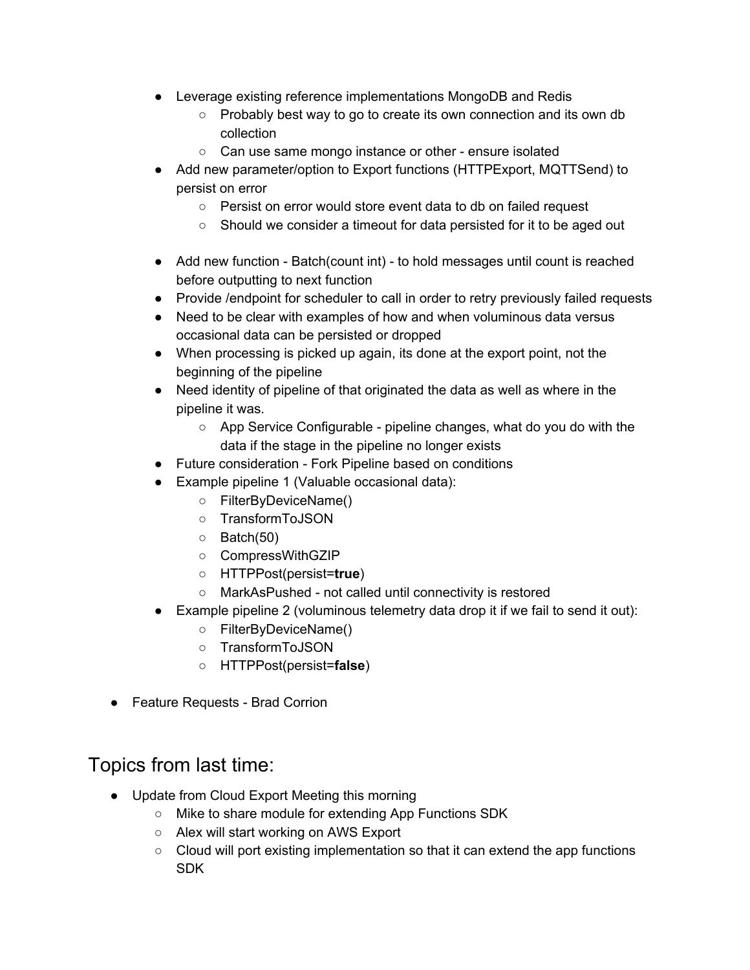- Leverage existing reference implementations MongoDB and Redis
	- Probably best way to go to create its own connection and its own db collection
	- Can use same mongo instance or other ensure isolated
- Add new parameter/option to Export functions (HTTPExport, MQTTSend) to persist on error
	- Persist on error would store event data to db on failed request
	- Should we consider a timeout for data persisted for it to be aged out
- Add new function Batch(count int) to hold messages until count is reached before outputting to next function
- Provide /endpoint for scheduler to call in order to retry previously failed requests
- Need to be clear with examples of how and when voluminous data versus occasional data can be persisted or dropped
- When processing is picked up again, its done at the export point, not the beginning of the pipeline
- Need identity of pipeline of that originated the data as well as where in the pipeline it was.
	- App Service Configurable pipeline changes, what do you do with the data if the stage in the pipeline no longer exists
- Future consideration Fork Pipeline based on conditions
- Example pipeline 1 (Valuable occasional data):
	- FilterByDeviceName()
	- TransformToJSON
	- Batch(50)
	- CompressWithGZIP
	- HTTPPost(persist=**true**)
	- MarkAsPushed not called until connectivity is restored
- Example pipeline 2 (voluminous telemetry data drop it if we fail to send it out):
	- FilterByDeviceName()
	- TransformToJSON
	- HTTPPost(persist=**false**)
- Feature Requests Brad Corrion

## Topics from last time:

- Update from Cloud Export Meeting this morning
	- Mike to share module for extending App Functions SDK
	- Alex will start working on AWS Export
	- Cloud will port existing implementation so that it can extend the app functions SDK